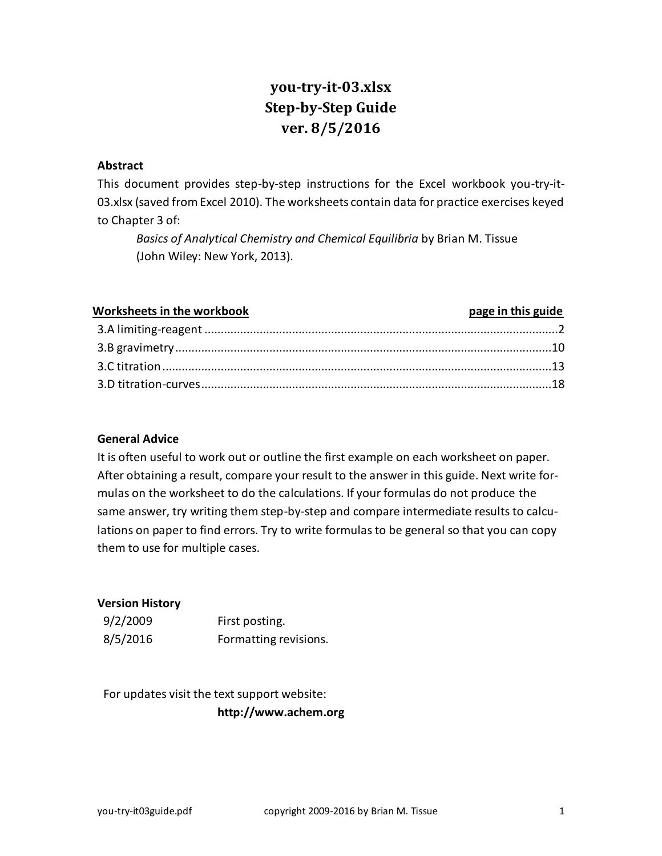# **you-try-it-03.xlsx Step-by-Step Guide ver. 8/5/2016**

#### **Abstract**

This document provides step-by-step instructions for the Excel workbook you-try-it-03.xlsx (saved from Excel 2010). The worksheets contain data for practice exercises keyed to Chapter 3 of:

*Basics of Analytical Chemistry and Chemical Equilibria* by Brian M. Tissue (John Wiley: New York, 2013).

| <b>Worksheets in the workbook</b> | page in this guide |
|-----------------------------------|--------------------|
|                                   |                    |
|                                   |                    |
|                                   |                    |
|                                   |                    |

#### **General Advice**

It is often useful to work out or outline the first example on each worksheet on paper. After obtaining a result, compare your result to the answer in this guide. Next write formulas on the worksheet to do the calculations. If your formulas do not produce the same answer, try writing them step-by-step and compare intermediate results to calculations on paper to find errors. Try to write formulas to be general so that you can copy them to use for multiple cases.

#### **Version History**

| 9/2/2009 | First posting.        |
|----------|-----------------------|
| 8/5/2016 | Formatting revisions. |

For updates visit the text support website: **http://www.achem.org**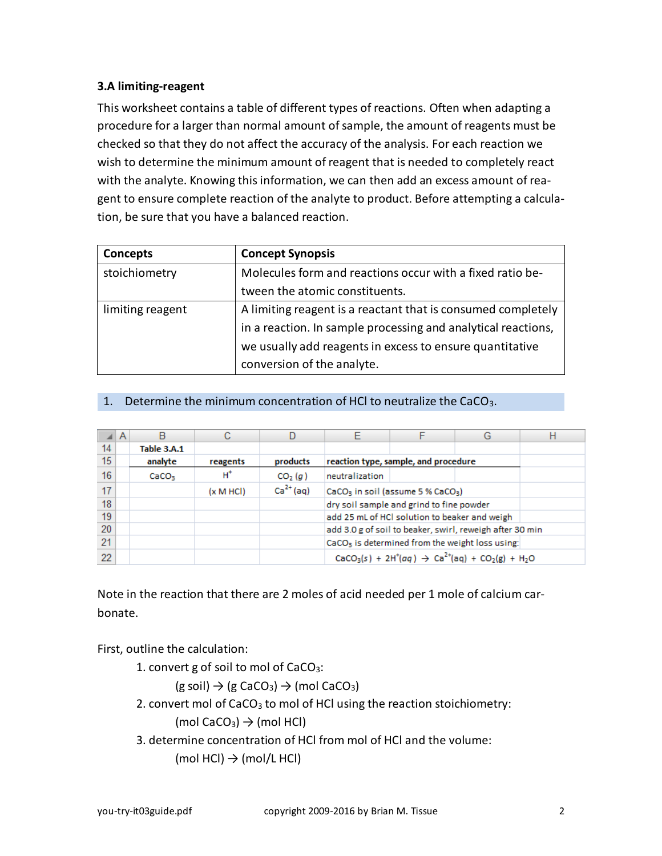## <span id="page-1-0"></span>**3.A limiting-reagent**

This worksheet contains a table of different types of reactions. Often when adapting a procedure for a larger than normal amount of sample, the amount of reagents must be checked so that they do not affect the accuracy of the analysis. For each reaction we wish to determine the minimum amount of reagent that is needed to completely react with the analyte. Knowing this information, we can then add an excess amount of reagent to ensure complete reaction of the analyte to product. Before attempting a calculation, be sure that you have a balanced reaction.

| Concepts         | <b>Concept Synopsis</b>                                       |
|------------------|---------------------------------------------------------------|
| stoichiometry    | Molecules form and reactions occur with a fixed ratio be-     |
|                  | tween the atomic constituents.                                |
| limiting reagent | A limiting reagent is a reactant that is consumed completely  |
|                  | in a reaction. In sample processing and analytical reactions, |
|                  | we usually add reagents in excess to ensure quantitative      |
|                  | conversion of the analyte.                                    |

## 1. Determine the minimum concentration of HCl to neutralize the CaCO3.

|    | A |                   |                      |                     | F                                                           |                                               | G |  |  |  |
|----|---|-------------------|----------------------|---------------------|-------------------------------------------------------------|-----------------------------------------------|---|--|--|--|
| 14 |   | Table 3.A.1       |                      |                     |                                                             |                                               |   |  |  |  |
| 15 |   | analyte           | reagents             | products            |                                                             | reaction type, sample, and procedure          |   |  |  |  |
| 16 |   | CaCO <sub>3</sub> | H*                   | CO <sub>2</sub> (q) | neutralization                                              |                                               |   |  |  |  |
| 17 |   |                   | $(x \text{ M } HCl)$ | $Ca2+(aq)$          | CaCO <sub>3</sub> in soil (assume 5 % CaCO <sub>3</sub> )   |                                               |   |  |  |  |
| 18 |   |                   |                      |                     |                                                             | dry soil sample and grind to fine powder      |   |  |  |  |
| 19 |   |                   |                      |                     |                                                             | add 25 mL of HCl solution to beaker and weigh |   |  |  |  |
| 20 |   |                   |                      |                     | add 3.0 g of soil to beaker, swirl, reweigh after 30 min    |                                               |   |  |  |  |
| 21 |   |                   |                      |                     | CaCO <sub>3</sub> is determined from the weight loss using: |                                               |   |  |  |  |
| 22 |   |                   |                      |                     | $CaCO3(s) + 2H+(aq) \rightarrow Ca2+(aq) + CO2(g) + H2O$    |                                               |   |  |  |  |

Note in the reaction that there are 2 moles of acid needed per 1 mole of calcium carbonate.

First, outline the calculation:

1. convert g of soil to mol of  $CaCO<sub>3</sub>$ :

 $(g \text{ soil}) \rightarrow (g \text{ CaCO}_3) \rightarrow (mol \text{ CaCO}_3)$ 

- 2. convert mol of CaCO<sub>3</sub> to mol of HCl using the reaction stoichiometry: (mol CaCO<sub>3</sub>)  $\rightarrow$  (mol HCl)
- 3. determine concentration of HCl from mol of HCl and the volume: (mol HCl)  $\rightarrow$  (mol/L HCl)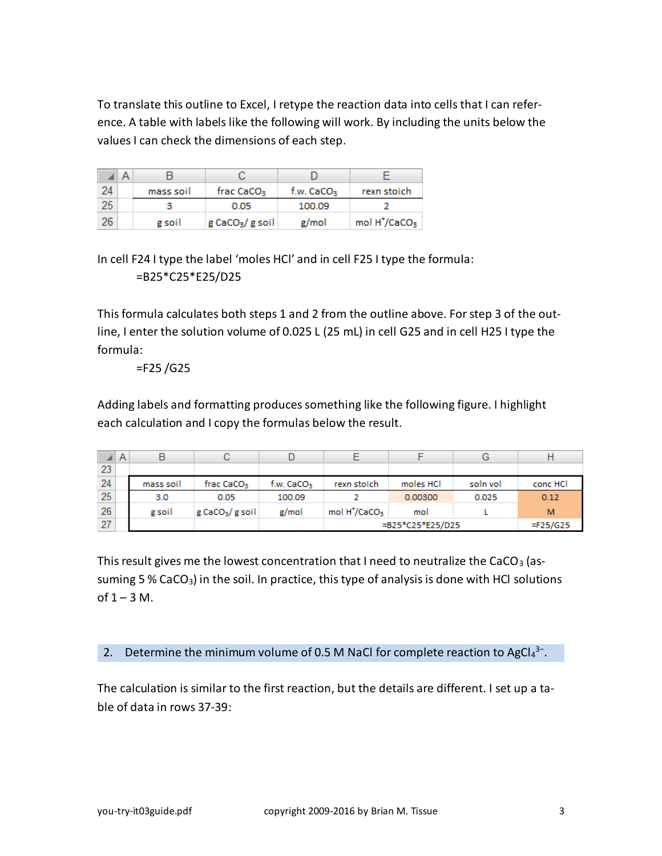To translate this outline to Excel, I retype the reaction data into cells that I can reference. A table with labels like the following will work. By including the units below the values I can check the dimensions of each step.

| 24 | mass soil | frac CaCO <sub>3</sub>      | f.w. $CaCO3$ | rexn stoich                           |  |
|----|-----------|-----------------------------|--------------|---------------------------------------|--|
| 25 |           | 0.05                        | 100.09       |                                       |  |
| 26 | g soil    | g CaCO <sub>3</sub> /g soil | g/mol        | mol H <sup>+</sup> /CaCO <sub>3</sub> |  |

In cell F24 I type the label 'moles HCl' and in cell F25 I type the formula: =B25\*C25\*E25/D25

This formula calculates both steps 1 and 2 from the outline above. For step 3 of the outline, I enter the solution volume of 0.025 L (25 mL) in cell G25 and in cell H25 I type the formula:

## =F25 /G25

Adding labels and formatting produces something like the following figure. I highlight each calculation and I copy the formulas below the result.

|    | A |           | U                             |                          |                                              |                  | G        |          |
|----|---|-----------|-------------------------------|--------------------------|----------------------------------------------|------------------|----------|----------|
| 23 |   |           |                               |                          |                                              |                  |          |          |
| 24 |   | mass soil | frac CaCO <sub>3</sub>        | $f.w.$ CaCO <sub>3</sub> | rexn stoich                                  | moles HCl        | soln vol | conc HCl |
| 25 |   | 3.0       | 0.05                          | 100.09                   |                                              | 0.00300<br>0.025 |          | 0.12     |
| 26 |   | g soil    | $g$ CaCO <sub>3</sub> /g soil | g/mol                    | mol H <sup>+</sup> /CaCO <sub>3</sub><br>mol |                  |          | M        |
| 27 |   |           |                               |                          | =B25*C25*E25/D25                             | $=$ F25/G25      |          |          |

This result gives me the lowest concentration that I need to neutralize the CaCO<sub>3</sub> (assuming 5 % CaCO<sub>3</sub>) in the soil. In practice, this type of analysis is done with HCl solutions of  $1 - 3$  M.

2. Determine the minimum volume of 0.5 M NaCl for complete reaction to AgCl<sub>4</sub><sup>3-</sup>.

The calculation is similar to the first reaction, but the details are different. I set up a table of data in rows 37-39: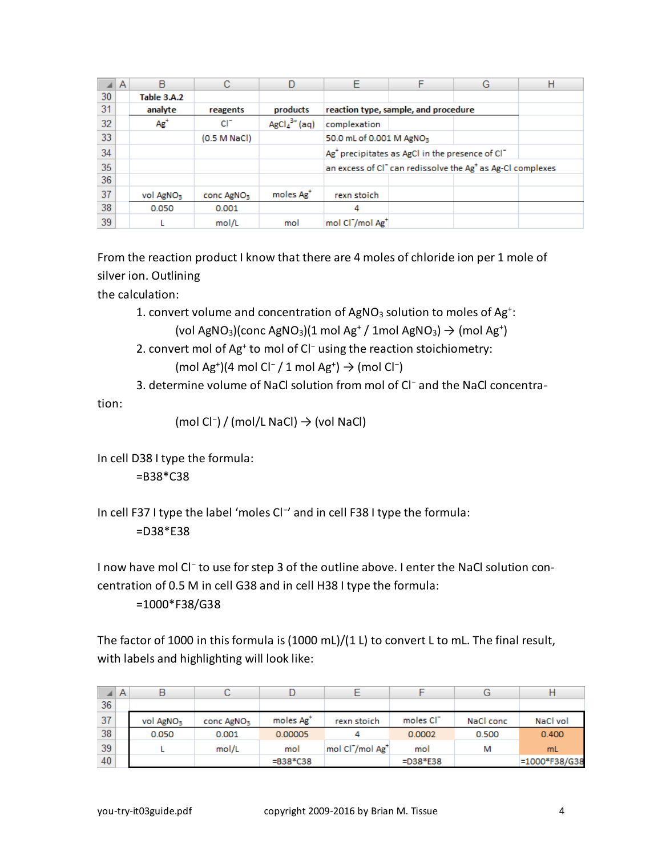|    | A | B                     | С                      |                       | F                                                                                  | F                                                                       | G | Н |  |  |
|----|---|-----------------------|------------------------|-----------------------|------------------------------------------------------------------------------------|-------------------------------------------------------------------------|---|---|--|--|
| 30 |   | Table 3.A.2           |                        |                       |                                                                                    |                                                                         |   |   |  |  |
| 31 |   | analyte               | reagents               | products              | reaction type, sample, and procedure                                               |                                                                         |   |   |  |  |
| 32 |   | $Ag^+$                | сr                     | $AgCl43- (aq)$        | complexation                                                                       |                                                                         |   |   |  |  |
| 33 |   |                       | (0.5 M NaCl)           |                       | 50.0 mL of 0.001 M AgNO <sub>3</sub>                                               |                                                                         |   |   |  |  |
| 34 |   |                       |                        |                       |                                                                                    | Ag <sup>+</sup> precipitates as AgCl in the presence of Cl <sup>-</sup> |   |   |  |  |
| 35 |   |                       |                        |                       | an excess of CI <sup>-</sup> can redissolve the Ag <sup>+</sup> as Ag-CI complexes |                                                                         |   |   |  |  |
| 36 |   |                       |                        |                       |                                                                                    |                                                                         |   |   |  |  |
| 37 |   | vol AgNO <sub>3</sub> | conc AgNO <sub>3</sub> | moles Ag <sup>+</sup> | rexn stoich                                                                        |                                                                         |   |   |  |  |
| 38 |   | 0.050                 | 0.001                  |                       | 4                                                                                  |                                                                         |   |   |  |  |
| 39 |   |                       | mol/L                  | mol                   | mol Cl <sup>-</sup> /mol Ag <sup>+</sup>                                           |                                                                         |   |   |  |  |

From the reaction product I know that there are 4 moles of chloride ion per 1 mole of silver ion. Outlining

the calculation:

1. convert volume and concentration of  $AgNO<sub>3</sub>$  solution to moles of  $Ag<sup>+</sup>$ :

(vol AgNO<sub>3</sub>)(conc AgNO<sub>3</sub>)(1 mol Ag<sup>+</sup>/ 1mol AgNO<sub>3</sub>)  $\rightarrow$  (mol Ag<sup>+</sup>)

- 2. convert mol of Ag<sup>+</sup> to mol of Cl<sup>−</sup> using the reaction stoichiometry: (mol Ag<sup>+</sup>)(4 mol Cl<sup>−</sup> / 1 mol Ag<sup>+</sup>)  $\rightarrow$  (mol Cl<sup>−</sup>)
- 3. determine volume of NaCl solution from mol of Cl<sup>−</sup> and the NaCl concentra-

tion:

```
(mol Cl−
) / (mol/L NaCl) → (vol NaCl)
```
In cell D38 I type the formula:

=B38\*C38

In cell F37 I type the label 'moles Cl<sup>-</sup>' and in cell F38 I type the formula: =D38\*E38

I now have mol Cl<sup>-</sup> to use for step 3 of the outline above. I enter the NaCl solution concentration of 0.5 M in cell G38 and in cell H38 I type the formula:

=1000\*F38/G38

The factor of 1000 in this formula is (1000 mL)/(1 L) to convert L to mL. The final result, with labels and highlighting will look like:

|    | A |                       | C.                     |                       |                                          |                       | G         |               |
|----|---|-----------------------|------------------------|-----------------------|------------------------------------------|-----------------------|-----------|---------------|
| 36 |   |                       |                        |                       |                                          |                       |           |               |
| 37 |   | vol AgNO <sub>3</sub> | conc AgNO <sub>3</sub> | moles Ag <sup>+</sup> | rexn stoich                              | moles Cl <sup>-</sup> | NaCl conc | NaCl vol      |
| 38 |   | 0.050                 | 0.001                  | 0.00005               |                                          | 0.0002                | 0.500     | 0.400         |
| 39 |   |                       | mol/L                  | mol                   | mol Cl <sup>-</sup> /mol Ag <sup>+</sup> | mol                   | м         | mL.           |
| 40 |   |                       |                        | $= B38*C38$           |                                          | $=$ D38*E38           |           | =1000*F38/G38 |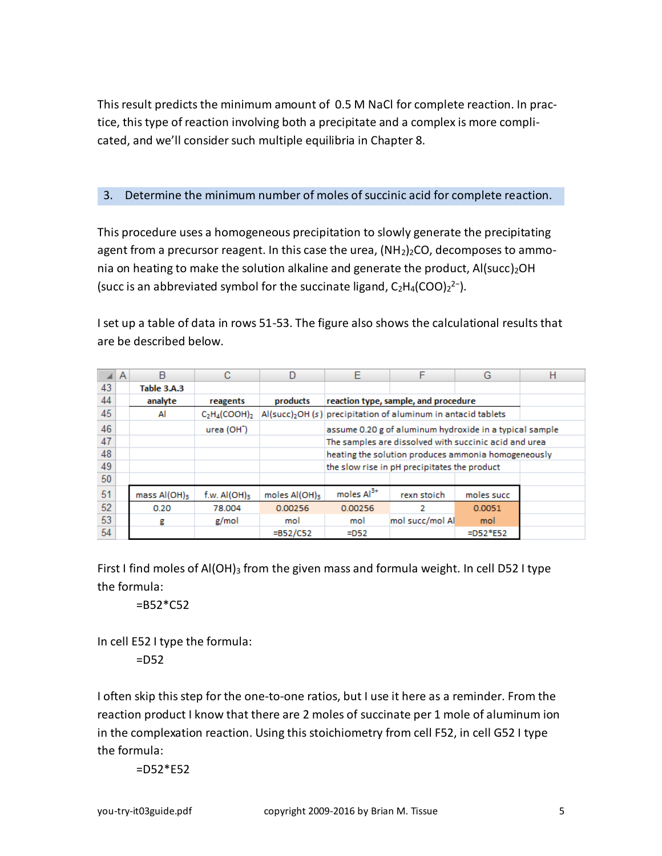This result predicts the minimum amount of 0.5 M NaCl for complete reaction. In practice, this type of reaction involving both a precipitate and a complex is more complicated, and we'll consider such multiple equilibria in Chapter 8.

## 3. Determine the minimum number of moles of succinic acid for complete reaction.

This procedure uses a homogeneous precipitation to slowly generate the precipitating agent from a precursor reagent. In this case the urea,  $(NH<sub>2</sub>)<sub>2</sub>CO$ , decomposes to ammonia on heating to make the solution alkaline and generate the product,  $AI(succ)_{2}OH$ (succ is an abbreviated symbol for the succinate ligand,  $C_2H_4(COO)_2^2$ -).

I set up a table of data in rows 51-53. The figure also shows the calculational results that are be described below.

|    | $\mathsf{A}$ | B                 | С                          | D                         | E                                                       | F                                                                         | G           | н |  |  |  |
|----|--------------|-------------------|----------------------------|---------------------------|---------------------------------------------------------|---------------------------------------------------------------------------|-------------|---|--|--|--|
| 43 |              | Table 3.A.3       |                            |                           |                                                         |                                                                           |             |   |  |  |  |
| 44 |              | analyte           | reagents                   | products                  |                                                         | reaction type, sample, and procedure                                      |             |   |  |  |  |
| 45 |              | Al                | $C_2H_4(COOH)$             |                           |                                                         | Al(succ) <sub>2</sub> OH (s) precipitation of aluminum in antacid tablets |             |   |  |  |  |
| 46 |              |                   | urea (OH <sup>-</sup> )    |                           | assume 0.20 g of aluminum hydroxide in a typical sample |                                                                           |             |   |  |  |  |
| 47 |              |                   |                            |                           | The samples are dissolved with succinic acid and urea   |                                                                           |             |   |  |  |  |
| 48 |              |                   |                            |                           | heating the solution produces ammonia homogeneously     |                                                                           |             |   |  |  |  |
| 49 |              |                   |                            |                           |                                                         | the slow rise in pH precipitates the product                              |             |   |  |  |  |
| 50 |              |                   |                            |                           |                                                         |                                                                           |             |   |  |  |  |
| 51 |              | $mass$ Al(OH) $3$ | f.w. $AI(OH)$ <sub>3</sub> | moles Al(OH) <sub>3</sub> | moles $Al3+$                                            | rexn stoich                                                               | moles succ  |   |  |  |  |
| 52 |              | 0.20              | 78,004                     | 0.00256                   | 0.00256                                                 | 2                                                                         | 0.0051      |   |  |  |  |
| 53 |              | g                 | g/mol                      | mol                       | mol succ/mol Al<br>mol<br>mol                           |                                                                           |             |   |  |  |  |
| 54 |              |                   |                            | $= B52/C52$               | $=$ D52                                                 |                                                                           | $=$ D52*E52 |   |  |  |  |

First I find moles of  $AI(OH)_{3}$  from the given mass and formula weight. In cell D52 I type the formula:

 $=$ B52 $*$ C52

In cell E52 I type the formula:

=D52

I often skip this step for the one-to-one ratios, but I use it here as a reminder. From the reaction product I know that there are 2 moles of succinate per 1 mole of aluminum ion in the complexation reaction. Using this stoichiometry from cell F52, in cell G52 I type the formula:

 $=$  D52 $*$ E52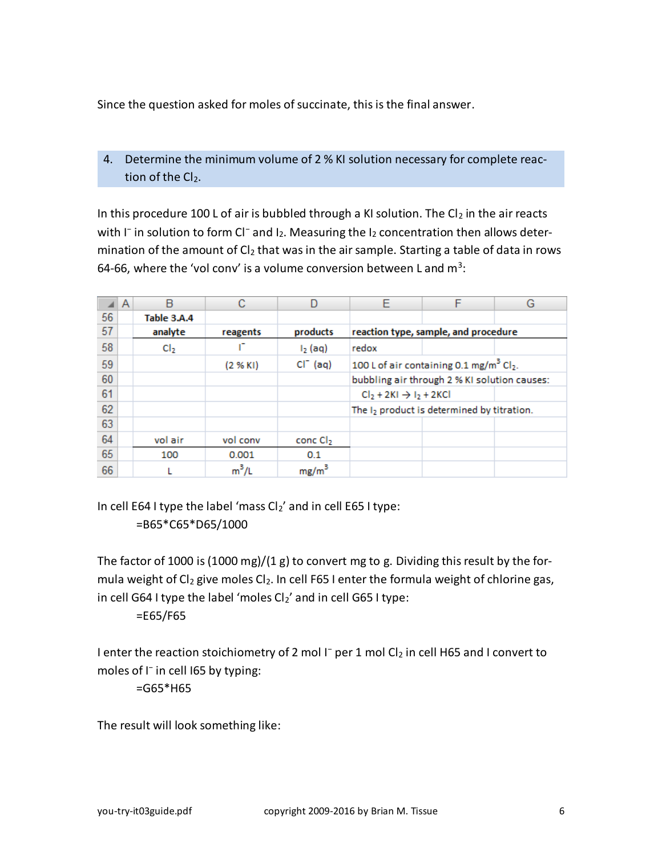Since the question asked for moles of succinate, this is the final answer.

## 4. Determine the minimum volume of 2 % KI solution necessary for complete reaction of the  $Cl<sub>2</sub>$ .

In this procedure 100 L of air is bubbled through a KI solution. The  $Cl_2$  in the air reacts with I<sup>-</sup> in solution to form Cl<sup>-</sup> and I<sub>2</sub>. Measuring the I<sub>2</sub> concentration then allows determination of the amount of  $Cl<sub>2</sub>$  that was in the air sample. Starting a table of data in rows 64-66, where the 'vol conv' is a volume conversion between L and  $m^3$ :

|    | A | в               |          | D                    | F                                     |                                                                 | G |
|----|---|-----------------|----------|----------------------|---------------------------------------|-----------------------------------------------------------------|---|
| 56 |   | Table 3.A.4     |          |                      |                                       |                                                                 |   |
| 57 |   | analyte         | reagents | products             |                                       | reaction type, sample, and procedure                            |   |
| 58 |   | C <sub>12</sub> |          | $I_2$ (aq)           | redox                                 |                                                                 |   |
| 59 |   |                 | (2 % KI) | $CI^-(aq)$           |                                       | 100 L of air containing 0.1 mg/m <sup>3</sup> Cl <sub>2</sub> . |   |
| 60 |   |                 |          |                      |                                       | bubbling air through 2 % KI solution causes:                    |   |
| 61 |   |                 |          |                      | $Cl2 + 2KI$ $\rightarrow$ $I2 + 2KCl$ |                                                                 |   |
| 62 |   |                 |          |                      |                                       | The I <sub>2</sub> product is determined by titration.          |   |
| 63 |   |                 |          |                      |                                       |                                                                 |   |
| 64 |   | vol air         | vol conv | conc Cl <sub>2</sub> |                                       |                                                                 |   |
| 65 |   | 100             | 0.001    | 0.1                  |                                       |                                                                 |   |
| 66 |   |                 | $m^3/l$  | mg/m <sup>3</sup>    |                                       |                                                                 |   |

In cell E64 I type the label 'mass  $Cl_2$ ' and in cell E65 I type: =B65\*C65\*D65/1000

The factor of 1000 is (1000 mg)/(1 g) to convert mg to g. Dividing this result by the formula weight of Cl<sub>2</sub> give moles Cl<sub>2</sub>. In cell F65 I enter the formula weight of chlorine gas, in cell G64 I type the label 'moles  $Cl_2$ ' and in cell G65 I type:

=E65/F65

I enter the reaction stoichiometry of 2 mol I<sup>−</sup> per 1 mol Cl<sub>2</sub> in cell H65 and I convert to moles of I<sup>−</sup> in cell I65 by typing:

=G65\*H65

The result will look something like: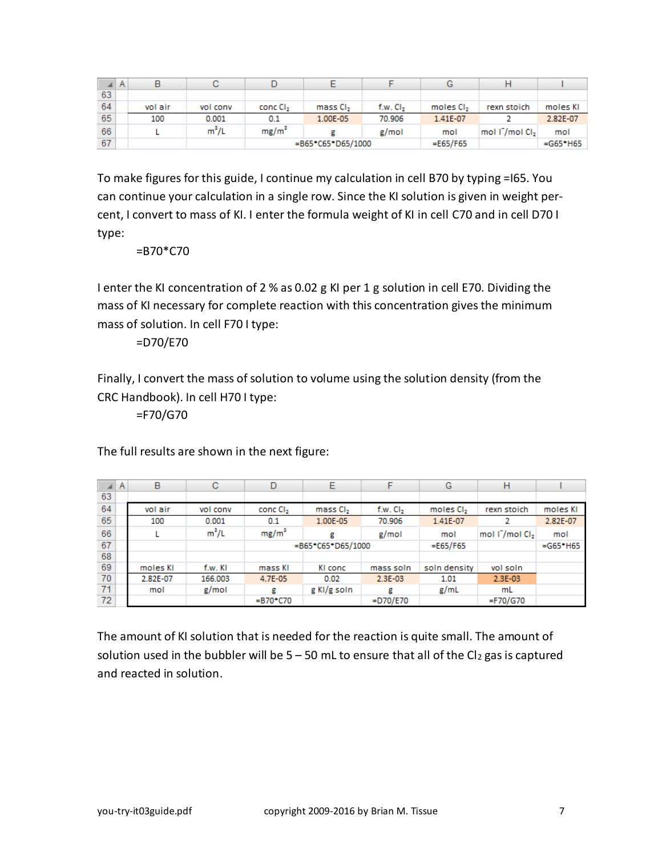|    |         | с        |                      |                      |                      |                       | Н                           |             |
|----|---------|----------|----------------------|----------------------|----------------------|-----------------------|-----------------------------|-------------|
| 63 |         |          |                      |                      |                      |                       |                             |             |
| 64 | vol air | vol conv | conc CI <sub>2</sub> | mass CI <sub>2</sub> | f.w. CI <sub>2</sub> | moles CI <sub>2</sub> | rexn stoich                 | moles KI    |
| 65 | 100     | 0.001    | 0.1                  | 1.00E-05             | 70.906               | 1.41E-07              |                             | 2.82E-07    |
| 66 |         | $m^3/L$  | $mg/m^3$             |                      | g/mol                | mol                   | mol I / mol Cl <sub>2</sub> | mol         |
| 67 |         |          |                      | =B65*C65*D65/1000    |                      | $=E65/F65$            |                             | $= G65*H65$ |

To make figures for this guide, I continue my calculation in cell B70 by typing =I65. You can continue your calculation in a single row. Since the KI solution is given in weight percent, I convert to mass of KI. I enter the formula weight of KI in cell C70 and in cell D70 I type:

=B70\*C70

I enter the KI concentration of 2 % as 0.02 g KI per 1 g solution in cell E70. Dividing the mass of KI necessary for complete reaction with this concentration gives the minimum mass of solution. In cell F70 I type:

=D70/E70

Finally, I convert the mass of solution to volume using the solution density (from the CRC Handbook). In cell H70 I type:

=F70/G70

The full results are shown in the next figure:

| æ  | $\mathsf{A}$ | B        | с        | D                    | Е                      | F            | G                     | н                                       |             |
|----|--------------|----------|----------|----------------------|------------------------|--------------|-----------------------|-----------------------------------------|-------------|
| 63 |              |          |          |                      |                        |              |                       |                                         |             |
| 64 |              | vol air  | vol conv | conc Cl <sub>2</sub> | mass Cl <sub>2</sub>   | $f.w.$ $Cl2$ | moles CI <sub>2</sub> | rexn stoich                             | moles KI    |
| 65 |              | 100      | 0.001    | 0.1                  | 1.00E-05               | 70.906       | 1.41E-07              |                                         | 2.82E-07    |
| 66 |              |          | $m^3/L$  | $mg/m^3$             | g                      | g/mol        | mol                   | mol I <sup>-</sup> /mol CI <sub>2</sub> | mol         |
| 67 |              |          |          |                      | $= B65^*C65^*D65/1000$ |              |                       |                                         | $= G65*H65$ |
| 68 |              |          |          |                      |                        |              |                       |                                         |             |
| 69 |              | moles KI | f.w. KI  | mass KI              | KI conc                | mass soln    | soln density          | vol soln                                |             |
| 70 |              | 2.82E-07 | 166.003  | 4.7E-05              | 0.02                   | 2.3E-03      | 1.01                  | 2.3E-03                                 |             |
| 71 |              | mol      | g/mol    | g                    | g KI/g soln            | д            | g/mL                  | mL                                      |             |
| 72 |              |          |          | $= B70^{\circ}$ C70  |                        | $=$ D70/E70  |                       | =F70/G70                                |             |

The amount of KI solution that is needed for the reaction is quite small. The amount of solution used in the bubbler will be  $5 - 50$  mL to ensure that all of the Cl<sub>2</sub> gas is captured and reacted in solution.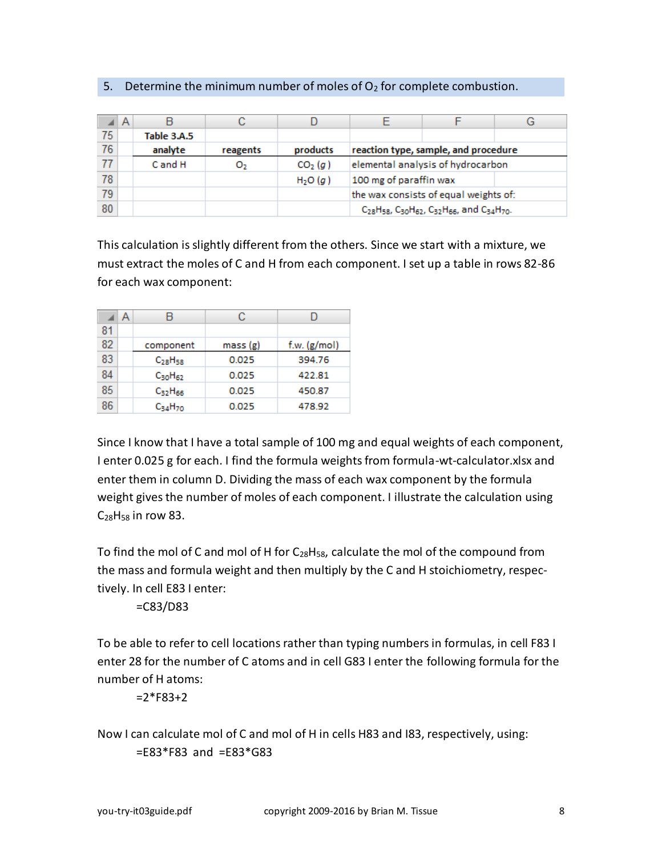|  | 5. Determine the minimum number of moles of $O2$ for complete combustion. |  |  |  |
|--|---------------------------------------------------------------------------|--|--|--|
|--|---------------------------------------------------------------------------|--|--|--|

|    | A |             |          |                     |                        |                                                                                                                                             |  |
|----|---|-------------|----------|---------------------|------------------------|---------------------------------------------------------------------------------------------------------------------------------------------|--|
| 75 |   | Table 3.A.5 |          |                     |                        |                                                                                                                                             |  |
| 76 |   | analyte     | reagents | products            |                        | reaction type, sample, and procedure                                                                                                        |  |
| 77 |   | C and H     | о,       | CO <sub>2</sub> (g) |                        | elemental analysis of hydrocarbon                                                                                                           |  |
| 78 |   |             |          | H <sub>2</sub> O(g) | 100 mg of paraffin wax |                                                                                                                                             |  |
| 79 |   |             |          |                     |                        | the wax consists of equal weights of:                                                                                                       |  |
| 80 |   |             |          |                     |                        | C <sub>28</sub> H <sub>58</sub> , C <sub>30</sub> H <sub>62</sub> , C <sub>32</sub> H <sub>66</sub> , and C <sub>34</sub> H <sub>70</sub> . |  |

This calculation is slightly different from the others. Since we start with a mixture, we must extract the moles of C and H from each component. I set up a table in rows 82-86 for each wax component:

|    | А |                | C       |              |
|----|---|----------------|---------|--------------|
| 81 |   |                |         |              |
| 82 |   | component      | mass(g) | f.w. (g/mol) |
| 83 |   | $C_{28}H_{58}$ | 0.025   | 394.76       |
| 84 |   | $C_{30}H_{62}$ | 0.025   | 422.81       |
| 85 |   | $C_{32}H_{66}$ | 0.025   | 450.87       |
| 86 |   | $C_{34}H_{70}$ | 0.025   | 478.92       |

Since I know that I have a total sample of 100 mg and equal weights of each component, I enter 0.025 g for each. I find the formula weights from formula-wt-calculator.xlsx and enter them in column D. Dividing the mass of each wax component by the formula weight gives the number of moles of each component. I illustrate the calculation using C<sub>28</sub>H<sub>58</sub> in row 83.

To find the mol of C and mol of H for  $C_{28}H_{58}$ , calculate the mol of the compound from the mass and formula weight and then multiply by the C and H stoichiometry, respectively. In cell E83 I enter:

=C83/D83

To be able to refer to cell locations rather than typing numbers in formulas, in cell F83 I enter 28 for the number of C atoms and in cell G83 I enter the following formula for the number of H atoms:

 $=2*FB3+2$ 

Now I can calculate mol of C and mol of H in cells H83 and I83, respectively, using:  $=$ E83\*F83 and  $=$ E83\*G83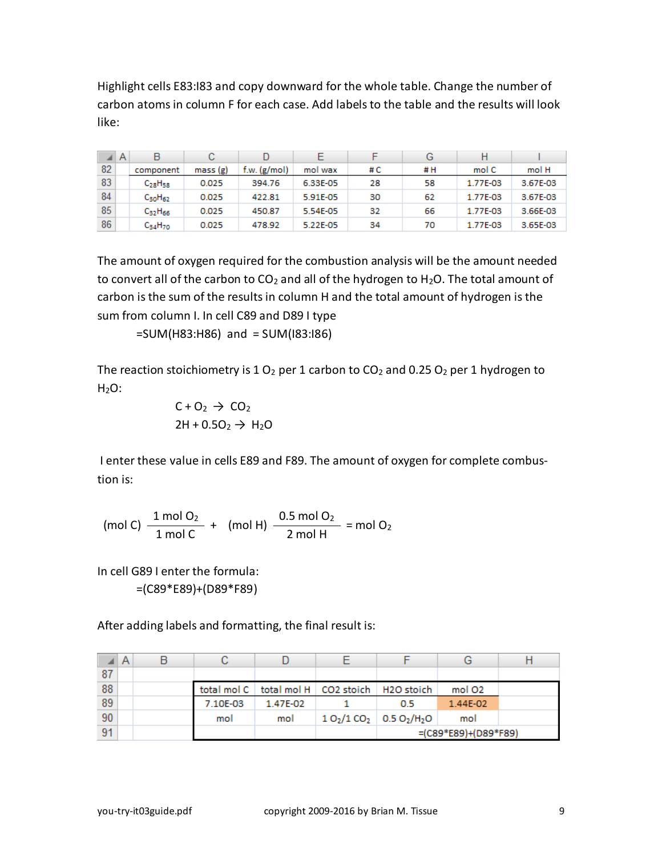Highlight cells E83:I83 and copy downward for the whole table. Change the number of carbon atoms in column F for each case. Add labels to the table and the results will look like:

|    | A | B              | С       |              |          |    | G  | Н        |          |
|----|---|----------------|---------|--------------|----------|----|----|----------|----------|
| 82 |   | component      | mass(g) | t.w. (g/mol) | mol wax  | #C | #H | mol C    | mol H    |
| 83 |   | $C_{28}H_{58}$ | 0.025   | 394.76       | 6.33E-05 | 28 | 58 | 1.77E-03 | 3.67E-03 |
| 84 |   | $C_{30}H_{62}$ | 0.025   | 422.81       | 5.91E-05 | 30 | 62 | 1.77E-03 | 3.67E-03 |
| 85 |   | $C_{32}H_{66}$ | 0.025   | 450.87       | 5.54E-05 | 32 | 66 | 1.77E-03 | 3.66E-03 |
| 86 |   | $C_{34}H_{70}$ | 0.025   | 478.92       | 5.22E-05 | 34 | 70 | 1.77E-03 | 3.65E-03 |

The amount of oxygen required for the combustion analysis will be the amount needed to convert all of the carbon to  $CO<sub>2</sub>$  and all of the hydrogen to H<sub>2</sub>O. The total amount of carbon is the sum of the results in column H and the total amount of hydrogen is the sum from column I. In cell C89 and D89 I type

=SUM(H83:H86) and = SUM(I83:I86)

The reaction stoichiometry is  $1 O_2$  per 1 carbon to  $CO_2$  and 0.25  $O_2$  per 1 hydrogen to  $H<sub>2</sub>O$ :

$$
C + O_2 \rightarrow CO_2
$$
  
2H + 0.5O<sub>2</sub>  $\rightarrow$  H<sub>2</sub>O

I enter these value in cells E89 and F89. The amount of oxygen for complete combustion is:

(mol C) 
$$
\frac{1 \text{ mol } O_2}{1 \text{ mol } C}
$$
 + (mol H)  $\frac{0.5 \text{ mol } O_2}{2 \text{ mol } H}$  = mol O<sub>2</sub>

In cell G89 I enter the formula: =(C89\*E89)+(D89\*F89)

After adding labels and formatting, the final result is:

|    | $\triangleleft$ A |          |                                                     |                                                   |                        |  |
|----|-------------------|----------|-----------------------------------------------------|---------------------------------------------------|------------------------|--|
| 87 |                   |          |                                                     |                                                   |                        |  |
| 88 |                   |          | total mol C   total mol H   CO2 stoich   H2O stoich |                                                   | mol O <sub>2</sub>     |  |
| 89 |                   | 7.10E-03 | 1.47E-02                                            | 0.5                                               | 1.44E-02               |  |
| 90 |                   | mol      | mol                                                 | $10_2/100_2$ 0.5 0 <sub>2</sub> /H <sub>2</sub> O | mol                    |  |
| 91 |                   |          |                                                     |                                                   | $=(C89*E89)+(D89*F89)$ |  |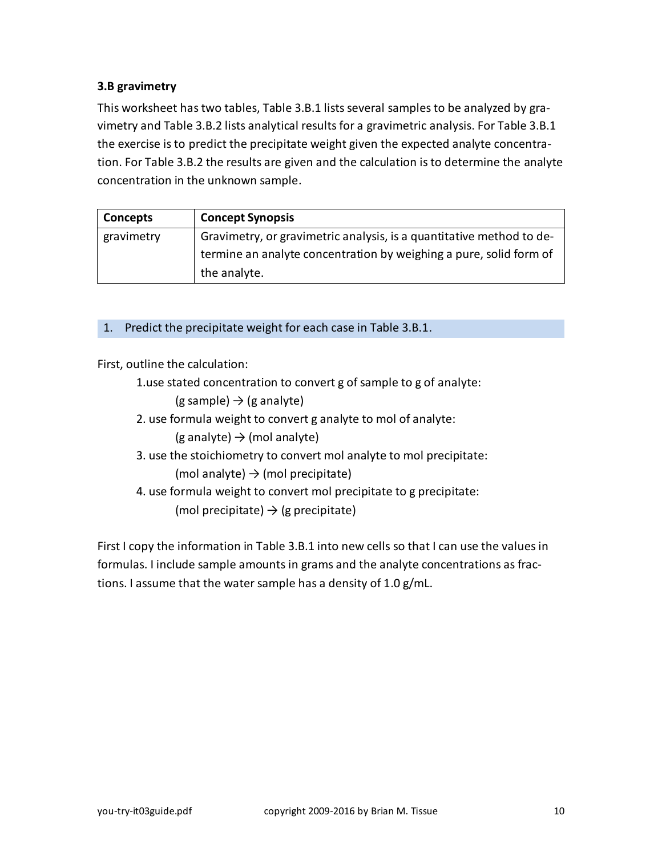## <span id="page-9-0"></span>**3.B gravimetry**

This worksheet has two tables, Table 3.B.1 lists several samples to be analyzed by gravimetry and Table 3.B.2 lists analytical results for a gravimetric analysis. For Table 3.B.1 the exercise is to predict the precipitate weight given the expected analyte concentration. For Table 3.B.2 the results are given and the calculation is to determine the analyte concentration in the unknown sample.

| Concepts   | <b>Concept Synopsis</b>                                              |
|------------|----------------------------------------------------------------------|
| gravimetry | Gravimetry, or gravimetric analysis, is a quantitative method to de- |
|            | termine an analyte concentration by weighing a pure, solid form of   |
|            | the analyte.                                                         |

### 1. Predict the precipitate weight for each case in Table 3.B.1.

First, outline the calculation:

1.use stated concentration to convert g of sample to g of analyte:

 $(g \text{ sample}) \rightarrow (g \text{ analyze})$ 

- 2. use formula weight to convert g analyte to mol of analyte:  $(g \text{ analytic}) \rightarrow \text{(mol analytic)}$
- 3. use the stoichiometry to convert mol analyte to mol precipitate: (mol analyte)  $\rightarrow$  (mol precipitate)
- 4. use formula weight to convert mol precipitate to g precipitate: (mol precipitate)  $\rightarrow$  (g precipitate)

First I copy the information in Table 3.B.1 into new cells so that I can use the values in formulas. I include sample amounts in grams and the analyte concentrations as fractions. I assume that the water sample has a density of 1.0 g/mL.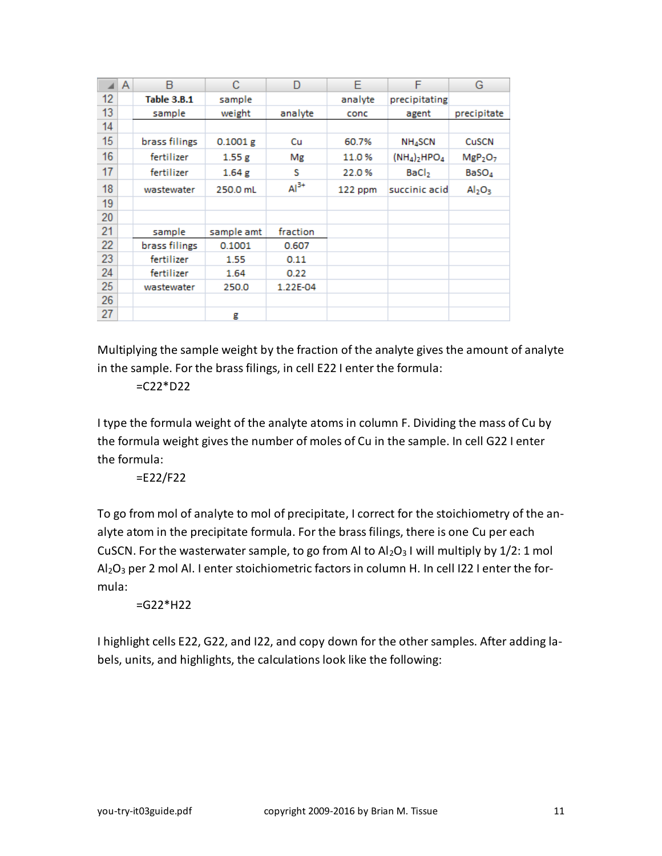|    | A | B                  | C          | D        | E       | F                   | G                               |
|----|---|--------------------|------------|----------|---------|---------------------|---------------------------------|
| 12 |   | <b>Table 3.B.1</b> | sample     |          | analyte | precipitating       |                                 |
| 13 |   | sample             | weight     | analyte  | conc    | agent               | precipitate                     |
| 14 |   |                    |            |          |         |                     |                                 |
| 15 |   | brass filings      | 0.1001 g   | Cu       | 60.7%   | NH <sub>4</sub> SCN | <b>CuSCN</b>                    |
| 16 |   | fertilizer         | 1.55g      | Mg       | 11.0%   | $(NH_4)_2HPO_4$     | MgP <sub>2</sub> O <sub>7</sub> |
| 17 |   | fertilizer         | 1.64g      | s        | 22.0%   | BaCl <sub>2</sub>   | BaSO <sub>4</sub>               |
| 18 |   | wastewater         | 250.0 mL   | $Al3+$   | 122 ppm | succinic acid       | $\mathsf{Al}_2\mathsf{O}_3$     |
| 19 |   |                    |            |          |         |                     |                                 |
| 20 |   |                    |            |          |         |                     |                                 |
| 21 |   | sample             | sample amt | fraction |         |                     |                                 |
| 22 |   | brass filings      | 0.1001     | 0.607    |         |                     |                                 |
| 23 |   | fertilizer         | 1.55       | 0.11     |         |                     |                                 |
| 24 |   | fertilizer         | 1.64       | 0.22     |         |                     |                                 |
| 25 |   | wastewater         | 250.0      | 1.22E-04 |         |                     |                                 |
| 26 |   |                    |            |          |         |                     |                                 |
| 27 |   |                    | g          |          |         |                     |                                 |

Multiplying the sample weight by the fraction of the analyte gives the amount of analyte in the sample. For the brass filings, in cell E22 I enter the formula:

 $=$  C22 $*$ D22

I type the formula weight of the analyte atoms in column F. Dividing the mass of Cu by the formula weight gives the number of moles of Cu in the sample. In cell G22 I enter the formula:

=E22/F22

To go from mol of analyte to mol of precipitate, I correct for the stoichiometry of the analyte atom in the precipitate formula. For the brass filings, there is one Cu per each CuSCN. For the wasterwater sample, to go from AI to  $Al_2O_3$  I will multiply by  $1/2$ : 1 mol  $Al_2O_3$  per 2 mol Al. I enter stoichiometric factors in column H. In cell I22 I enter the formula:

 $=$ G22\*H22

I highlight cells E22, G22, and I22, and copy down for the other samples. After adding labels, units, and highlights, the calculations look like the following: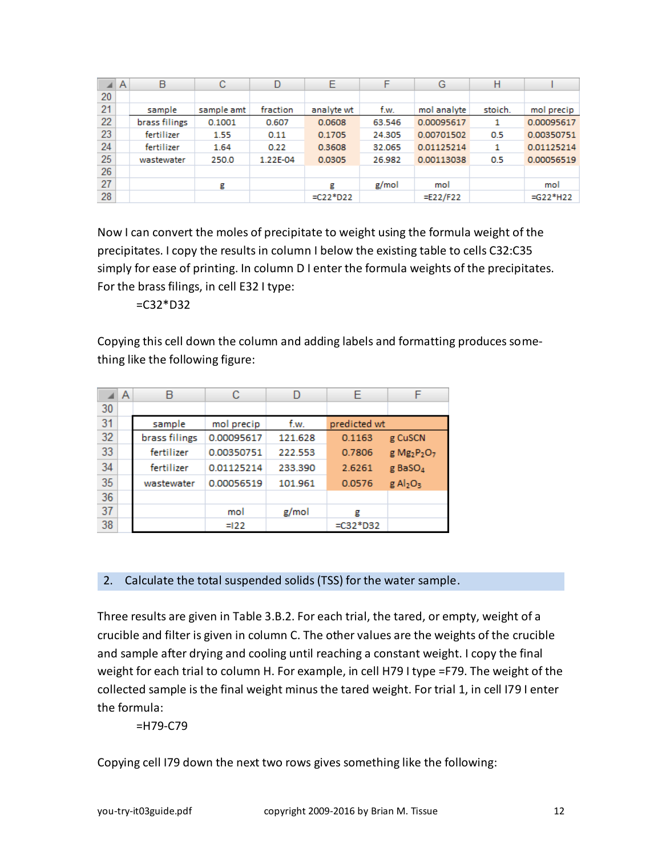|    | A | в             | с          | D        | Е           | F      | G           | н       |             |
|----|---|---------------|------------|----------|-------------|--------|-------------|---------|-------------|
| 20 |   |               |            |          |             |        |             |         |             |
| 21 |   | sample        | sample amt | fraction | analyte wt  | f.w.   | mol analyte | stoich. | mol precip  |
| 22 |   | brass filings | 0.1001     | 0.607    | 0.0608      | 63.546 | 0.00095617  | 1       | 0.00095617  |
| 23 |   | fertilizer    | 1.55       | 0.11     | 0.1705      | 24.305 | 0.00701502  | 0.5     | 0.00350751  |
| 24 |   | fertilizer    | 1.64       | 0.22     | 0.3608      | 32.065 | 0.01125214  | 1       | 0.01125214  |
| 25 |   | wastewater    | 250.0      | 1.22E-04 | 0.0305      | 26.982 | 0.00113038  | 0.5     | 0.00056519  |
| 26 |   |               |            |          |             |        |             |         |             |
| 27 |   |               | g          |          | g           | g/mol  | mol         |         | mol         |
| 28 |   |               |            |          | $=$ C22*D22 |        | $=E22/F22$  |         | $= G22*H22$ |

Now I can convert the moles of precipitate to weight using the formula weight of the precipitates. I copy the results in column I below the existing table to cells C32:C35 simply for ease of printing. In column D I enter the formula weights of the precipitates. For the brass filings, in cell E32 I type:

 $=$ C32 $*$ D32

Copying this cell down the column and adding labels and formatting produces something like the following figure:

|    | A | R             | С          | D       | F            | F                                               |
|----|---|---------------|------------|---------|--------------|-------------------------------------------------|
| 30 |   |               |            |         |              |                                                 |
| 31 |   | sample        | mol precip | f.w.    | predicted wt |                                                 |
| 32 |   | brass filings | 0.00095617 | 121.628 | 0.1163       | g CuSCN                                         |
| 33 |   | fertilizer    | 0.00350751 | 222.553 | 0.7806       | g Mg <sub>2</sub> P <sub>2</sub> O <sub>7</sub> |
| 34 |   | fertilizer    | 0.01125214 | 233.390 | 2.6261       | g BaSO <sub>4</sub>                             |
| 35 |   | wastewater    | 0.00056519 | 101.961 | 0.0576       | $g$ Al <sub>2</sub> O <sub>3</sub>              |
| 36 |   |               |            |         |              |                                                 |
| 37 |   |               | mol        | g/mol   | g            |                                                 |
| 38 |   |               | $=122$     |         | $=$ C32*D32  |                                                 |

2. Calculate the total suspended solids (TSS) for the water sample.

Three results are given in Table 3.B.2. For each trial, the tared, or empty, weight of a crucible and filter is given in column C. The other values are the weights of the crucible and sample after drying and cooling until reaching a constant weight. I copy the final weight for each trial to column H. For example, in cell H79 I type =F79. The weight of the collected sample is the final weight minus the tared weight. For trial 1, in cell I79 I enter the formula:

=H79-C79

Copying cell I79 down the next two rows gives something like the following: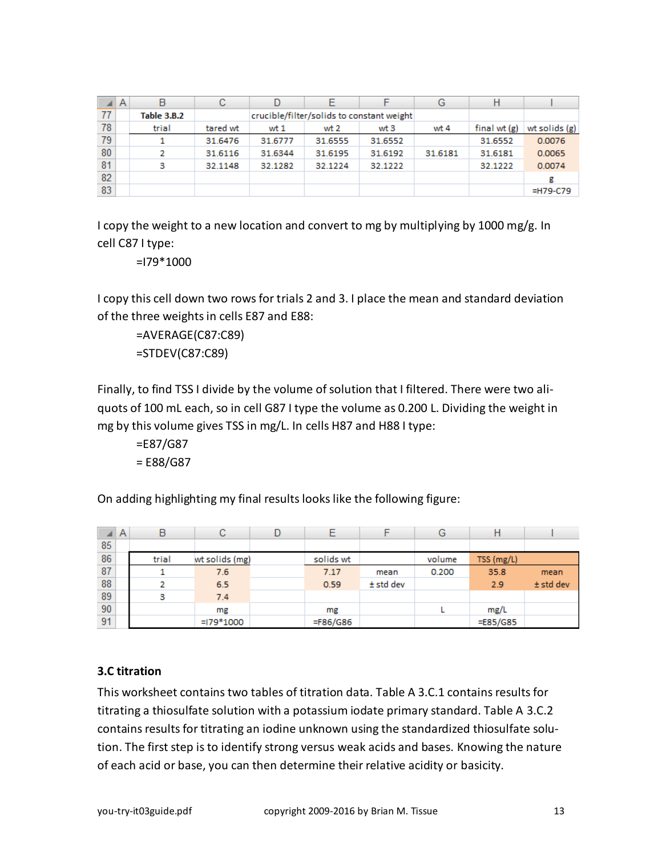|    | A | B                  | с        |         |         |                                           | G       | Н              |               |
|----|---|--------------------|----------|---------|---------|-------------------------------------------|---------|----------------|---------------|
| 77 |   | <b>Table 3.B.2</b> |          |         |         | crucible/filter/solids to constant weight |         |                |               |
| 78 |   | trial              | tared wt | wt 1    | wt 2    | wt 3                                      | wt 4    | final wt $(g)$ | wt solids (g) |
| 79 |   |                    | 31.6476  | 31.6777 | 31.6555 | 31.6552                                   |         | 31.6552        | 0.0076        |
| 80 |   |                    | 31.6116  | 31.6344 | 31.6195 | 31.6192                                   | 31.6181 | 31.6181        | 0.0065        |
| 81 |   | з                  | 32.1148  | 32.1282 | 32.1224 | 32.1222                                   |         | 32.1222        | 0.0074        |
| 82 |   |                    |          |         |         |                                           |         |                | g             |
| 83 |   |                    |          |         |         |                                           |         |                | =H79-C79      |

I copy the weight to a new location and convert to mg by multiplying by 1000 mg/g. In cell C87 I type:

=I79\*1000

I copy this cell down two rows for trials 2 and 3. I place the mean and standard deviation of the three weights in cells E87 and E88:

=AVERAGE(C87:C89) =STDEV(C87:C89)

Finally, to find TSS I divide by the volume of solution that I filtered. There were two aliquots of 100 mL each, so in cell G87 I type the volume as 0.200 L. Dividing the weight in mg by this volume gives TSS in mg/L. In cells H87 and H88 I type:

=E87/G87 = E88/G87

On adding highlighting my final results looks like the following figure:

|    | $\mathsf{A}$ | B     | С              |           |             | G      |             |             |
|----|--------------|-------|----------------|-----------|-------------|--------|-------------|-------------|
| 85 |              |       |                |           |             |        |             |             |
| 86 |              | trial | wt solids (mg) | solids wt |             | volume | TSS (mg/L)  |             |
| 87 |              |       | 7.6            | 7.17      | mean        | 0.200  | 35.8        | mean        |
| 88 |              |       | 6.5            | 0.59      | $±$ std dev |        | 2.9         | $±$ std dev |
| 89 |              | з     | 7.4            |           |             |        |             |             |
| 90 |              |       | mg             | mg        |             |        | mg/L        |             |
| 91 |              |       | $=179*1000$    | =F86/G86  |             |        | $=$ E85/G85 |             |

## <span id="page-12-0"></span>**3.C titration**

This worksheet contains two tables of titration data. Table A 3.C.1 contains results for titrating a thiosulfate solution with a potassium iodate primary standard. Table A 3.C.2 contains results for titrating an iodine unknown using the standardized thiosulfate solution. The first step is to identify strong versus weak acids and bases. Knowing the nature of each acid or base, you can then determine their relative acidity or basicity.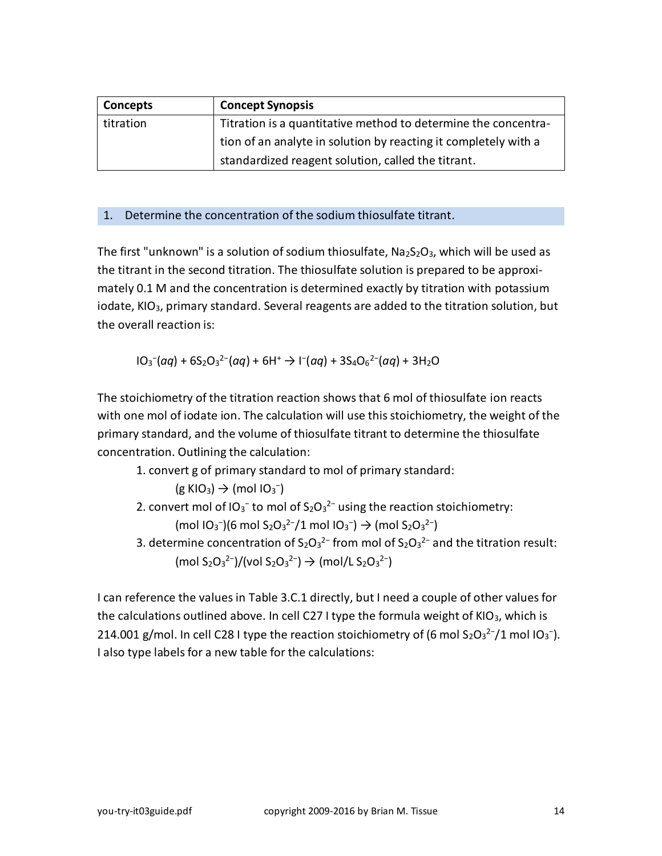| <b>Concepts</b> | <b>Concept Synopsis</b>                                         |
|-----------------|-----------------------------------------------------------------|
| titration       | Titration is a quantitative method to determine the concentra-  |
|                 | tion of an analyte in solution by reacting it completely with a |
|                 | standardized reagent solution, called the titrant.              |

#### 1. Determine the concentration of the sodium thiosulfate titrant.

The first "unknown" is a solution of sodium thiosulfate,  $Na<sub>2</sub>S<sub>2</sub>O<sub>3</sub>$ , which will be used as the titrant in the second titration. The thiosulfate solution is prepared to be approximately 0.1 M and the concentration is determined exactly by titration with potassium iodate, KIO<sub>3</sub>, primary standard. Several reagents are added to the titration solution, but the overall reaction is:

$$
10_3(aq) + 6S_2O_3^{2-}(aq) + 6H^+ \rightarrow 1(aq) + 3S_4O_6^{2-}(aq) + 3H_2O
$$

The stoichiometry of the titration reaction shows that 6 mol of thiosulfate ion reacts with one mol of iodate ion. The calculation will use this stoichiometry, the weight of the primary standard, and the volume of thiosulfate titrant to determine the thiosulfate concentration. Outlining the calculation:

1. convert g of primary standard to mol of primary standard:

$$
(g\,KIO_3)\to (mol\,IO_3^-)
$$

- 2. convert mol of IO<sub>3</sub><sup>-</sup> to mol of S<sub>2</sub>O<sub>3</sub><sup>2-</sup> using the reaction stoichiometry:  $\text{(mol } 10_3^-)(6 \text{ mol } S_2O_3^2^-/1 \text{ mol } 10_3^-) \rightarrow \text{(mol } S_2O_3^2^-)$
- 3. determine concentration of  $S_2O_3^{2}$  from mol of  $S_2O_3^{2}$  and the titration result:  $(mod S_2O_3^2$ <sup>2-</sup> $)/(vol S_2O_3^2$ <sup>2-</sup> $)$   $\rightarrow$   $(mod I$ L S<sub>2</sub>O<sub>3</sub><sup>2-</sup> $)$

I can reference the values in Table 3.C.1 directly, but I need a couple of other values for the calculations outlined above. In cell C27 I type the formula weight of KIO $_3$ , which is 214.001 g/mol. In cell C28 I type the reaction stoichiometry of (6 mol S<sub>2</sub>O<sub>3</sub><sup>2-</sup>/1 mol IO<sub>3</sub><sup>-</sup>). I also type labels for a new table for the calculations: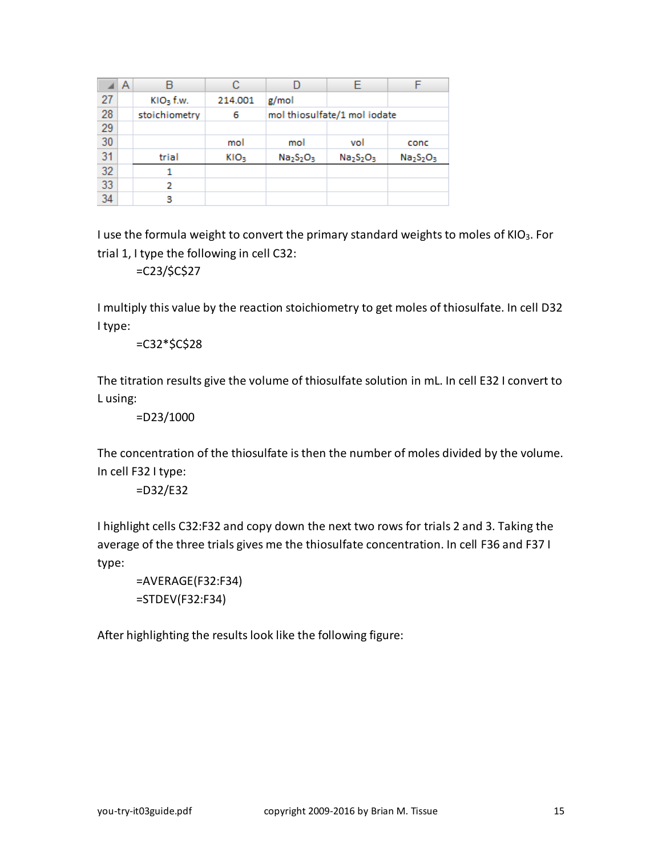|    | A |               |                  |                              |           |           |
|----|---|---------------|------------------|------------------------------|-----------|-----------|
| 27 |   | $KIO3$ f.w.   | 214.001          | g/mol                        |           |           |
| 28 |   | stoichiometry | 6                | mol thiosulfate/1 mol iodate |           |           |
| 29 |   |               |                  |                              |           |           |
| 30 |   |               | mol              | mol                          | vol       | conc      |
| 31 |   | trial         | KIO <sub>3</sub> | $Na2S2O3$                    | $Na2S2O3$ | $Na2S2O3$ |
| 32 |   |               |                  |                              |           |           |
| 33 |   | 2             |                  |                              |           |           |
| 34 |   | 3             |                  |                              |           |           |

I use the formula weight to convert the primary standard weights to moles of KIO3. For trial 1, I type the following in cell C32:

=C23/\$C\$27

I multiply this value by the reaction stoichiometry to get moles of thiosulfate. In cell D32 I type:

=C32\*\$C\$28

The titration results give the volume of thiosulfate solution in mL. In cell E32 I convert to L using:

=D23/1000

The concentration of the thiosulfate is then the number of moles divided by the volume. In cell F32 I type:

=D32/E32

I highlight cells C32:F32 and copy down the next two rows for trials 2 and 3. Taking the average of the three trials gives me the thiosulfate concentration. In cell F36 and F37 I type:

=AVERAGE(F32:F34) =STDEV(F32:F34)

After highlighting the results look like the following figure: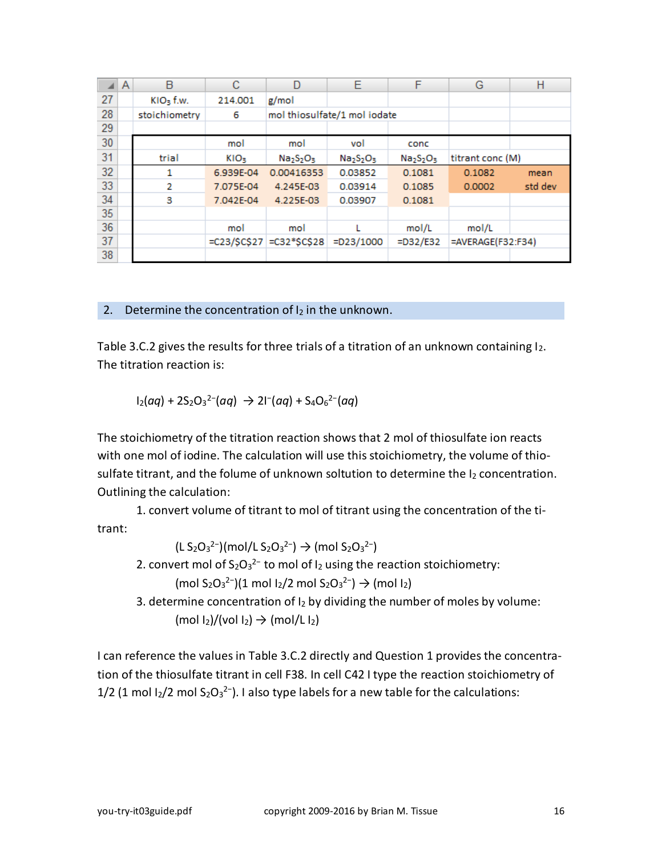|    | A | B             | с                | D               | E                            | F           | G                 | Н       |
|----|---|---------------|------------------|-----------------|------------------------------|-------------|-------------------|---------|
| 27 |   | $KIO3$ f.w.   | 214.001          | g/mol           |                              |             |                   |         |
| 28 |   | stoichiometry | 6                |                 | mol thiosulfate/1 mol iodate |             |                   |         |
| 29 |   |               |                  |                 |                              |             |                   |         |
| 30 |   |               | mol              | mol             | vol                          | conc        |                   |         |
| 31 |   | trial         | KIO <sub>3</sub> | $Na2S2O3$       | $Na2S2O3$                    | $Na2S2O3$   | titrant conc (M)  |         |
| 32 |   |               | 6.939E-04        | 0.00416353      | 0.03852                      | 0.1081      | 0.1082            | mean    |
| 33 |   | 2             | 7.075E-04        | 4.245E-03       | 0.03914                      | 0.1085      | 0.0002            | std dev |
| 34 |   | 3             | 7.042E-04        | 4.225E-03       | 0.03907                      | 0.1081      |                   |         |
| 35 |   |               |                  |                 |                              |             |                   |         |
| 36 |   |               | mol              | mol             |                              | mol/L       | mol/L             |         |
| 37 |   |               | $=C23/SC$27$     | $=$ C32*\$C\$28 | $=D23/1000$                  | $=$ D32/E32 | =AVERAGE(F32:F34) |         |
| 38 |   |               |                  |                 |                              |             |                   |         |

#### 2. Determine the concentration of  $I_2$  in the unknown.

Table 3.C.2 gives the results for three trials of a titration of an unknown containing  $I_2$ . The titration reaction is:

$$
1_2(aq) + 2S_2O_3^{2-}(aq) \rightarrow 21^{-}(aq) + S_4O_6^{2-}(aq)
$$

The stoichiometry of the titration reaction shows that 2 mol of thiosulfate ion reacts with one mol of iodine. The calculation will use this stoichiometry, the volume of thiosulfate titrant, and the folume of unknown soltution to determine the  $I_2$  concentration. Outlining the calculation:

1. convert volume of titrant to mol of titrant using the concentration of the titrant:

 $(L S_2 O_3^2^{-})$ (mol/L $S_2 O_3^2^{-}$ )  $\rightarrow$  (mol  $S_2 O_3^2^{-}$ )

2. convert mol of  $S_2O_3^{2-}$  to mol of  $I_2$  using the reaction stoichiometry:

 $(mod S_2O_3^2$ <sup>2-</sup>)(1 mol I<sub>2</sub>/2 mol S<sub>2</sub>O<sub>3</sub><sup>2-</sup>) → (mol I<sub>2</sub>)

3. determine concentration of  $I_2$  by dividing the number of moles by volume:  $(mod \ 1<sub>2</sub>)/(vol \ 1<sub>2</sub>) \rightarrow (mol/L \ 1<sub>2</sub>)$ 

I can reference the values in Table 3.C.2 directly and Question 1 provides the concentration of the thiosulfate titrant in cell F38. In cell C42 I type the reaction stoichiometry of 1/2 (1 mol  $I_2/2$  mol  $S_2O_3^{2-}$ ). I also type labels for a new table for the calculations: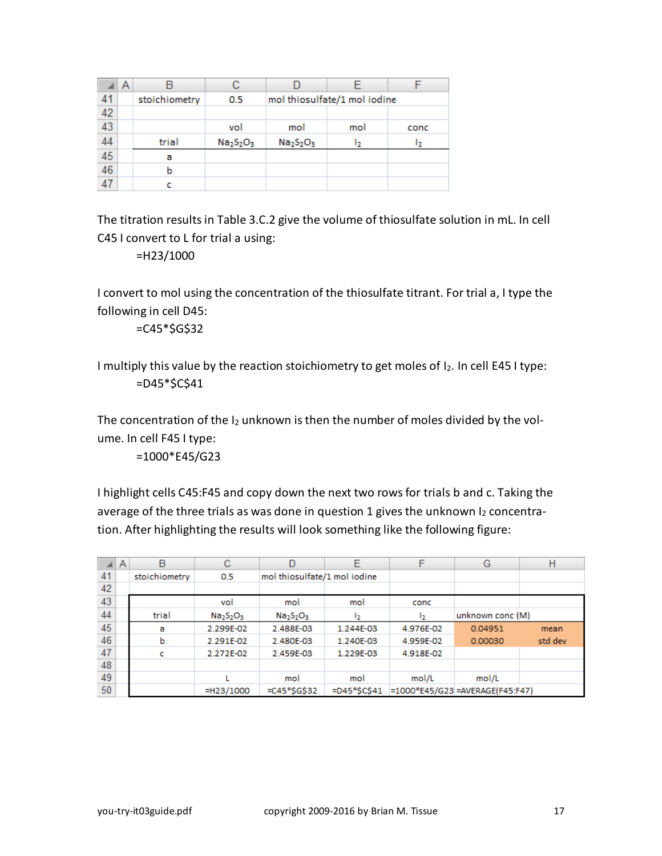|                 | Α |               |           |           |                              |      |
|-----------------|---|---------------|-----------|-----------|------------------------------|------|
| 41              |   | stoichiometry | 0.5       |           | mol thiosulfate/1 mol iodine |      |
| 42              |   |               |           |           |                              |      |
| 43              |   |               | vol       | mol       | mol                          | conc |
| 44              |   | trial         | $Na2S2O3$ | $Na2S2O3$ | ь                            | כו   |
| $\frac{45}{46}$ |   | a             |           |           |                              |      |
|                 |   |               |           |           |                              |      |
| 47              |   |               |           |           |                              |      |

The titration results in Table 3.C.2 give the volume of thiosulfate solution in mL. In cell C45 I convert to L for trial a using:

=H23/1000

I convert to mol using the concentration of the thiosulfate titrant. For trial a, I type the following in cell D45:

 $=C45*5G$32$ 

I multiply this value by the reaction stoichiometry to get moles of I2. In cell E45 I type:  $=$ D45 $*$ \$C\$41

The concentration of the  $I_2$  unknown is then the number of moles divided by the volume. In cell F45 I type:

=1000\*E45/G23

I highlight cells C45:F45 and copy down the next two rows for trials b and c. Taking the average of the three trials as was done in question 1 gives the unknown  $I_2$  concentration. After highlighting the results will look something like the following figure:

|    | A | B             | с         | D                            | Ε               | F         | G                               | н       |
|----|---|---------------|-----------|------------------------------|-----------------|-----------|---------------------------------|---------|
| 41 |   | stoichiometry | 0.5       | mol thiosulfate/1 mol iodine |                 |           |                                 |         |
| 42 |   |               |           |                              |                 |           |                                 |         |
| 43 |   |               | vol       | mol                          | mol             | conc      |                                 |         |
| 44 |   | trial         | $Na2S2O3$ | $Na2S2O3$                    | 12              | 12        | unknown conc (M)                |         |
| 45 |   | a             | 2.299E-02 | 2.488E-03                    | 1.244E-03       | 4.976E-02 | 0.04951                         | mean    |
| 46 |   | ь             | 2.291E-02 | 2.480E-03                    | 1.240E-03       | 4.959E-02 | 0.00030                         | std dev |
| 47 |   |               | 2.272E-02 | 2.459E-03                    | 1.229E-03       | 4.918E-02 |                                 |         |
| 48 |   |               |           |                              |                 |           |                                 |         |
| 49 |   |               |           | mol                          | mol             | mol/L     | mol/L                           |         |
| 50 |   |               | =H23/1000 | $=$ C45*\$G\$32              | $=$ D45*\$C\$41 |           | =1000*E45/G23 =AVERAGE(F45:F47) |         |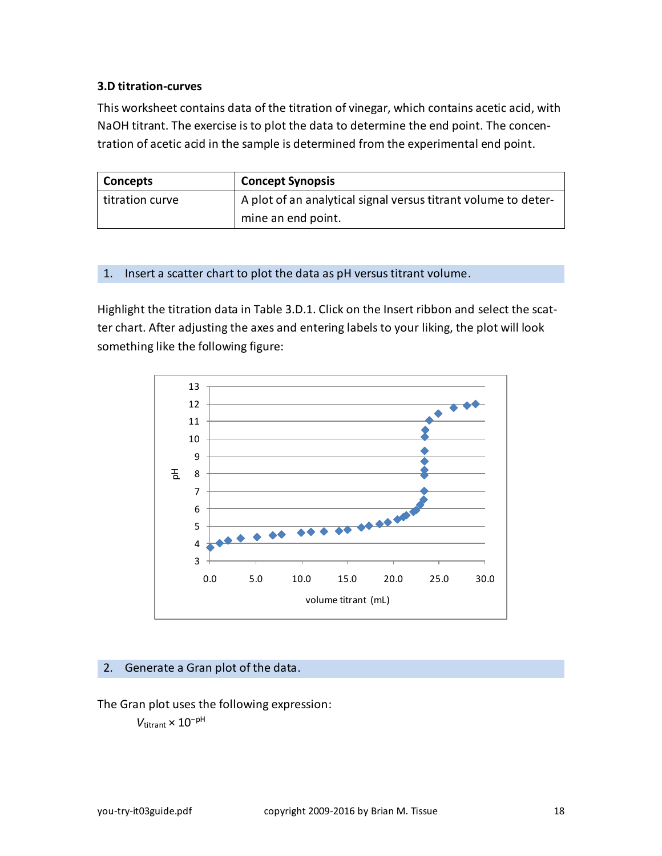#### <span id="page-17-0"></span>**3.D titration-curves**

This worksheet contains data of the titration of vinegar, which contains acetic acid, with NaOH titrant. The exercise is to plot the data to determine the end point. The concentration of acetic acid in the sample is determined from the experimental end point.

| Concepts        | <b>Concept Synopsis</b>                                        |  |  |
|-----------------|----------------------------------------------------------------|--|--|
| titration curve | A plot of an analytical signal versus titrant volume to deter- |  |  |
|                 | mine an end point.                                             |  |  |

#### 1. Insert a scatter chart to plot the data as pH versus titrant volume.

Highlight the titration data in Table 3.D.1. Click on the Insert ribbon and select the scatter chart. After adjusting the axes and entering labels to your liking, the plot will look something like the following figure:



#### 2. Generate a Gran plot of the data.

The Gran plot uses the following expression:

*V*titrant × 10<sup>−</sup>pH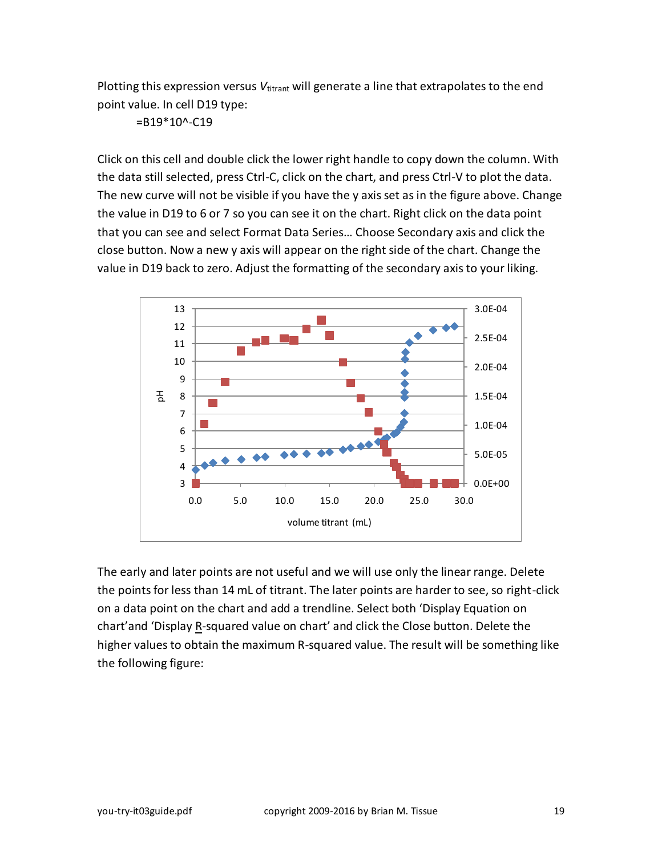Plotting this expression versus *V*<sub>titrant</sub> will generate a line that extrapolates to the end point value. In cell D19 type:

 $=$ B19 $*$ 10^-C19

Click on this cell and double click the lower right handle to copy down the column. With the data still selected, press Ctrl-C, click on the chart, and press Ctrl-V to plot the data. The new curve will not be visible if you have the y axis set as in the figure above. Change the value in D19 to 6 or 7 so you can see it on the chart. Right click on the data point that you can see and select Format Data Series… Choose Secondary axis and click the close button. Now a new y axis will appear on the right side of the chart. Change the value in D19 back to zero. Adjust the formatting of the secondary axis to your liking.



The early and later points are not useful and we will use only the linear range. Delete the points for less than 14 mL of titrant. The later points are harder to see, so right-click on a data point on the chart and add a trendline. Select both 'Display Equation on chart'and 'Display R-squared value on chart' and click the Close button. Delete the higher values to obtain the maximum R-squared value. The result will be something like the following figure: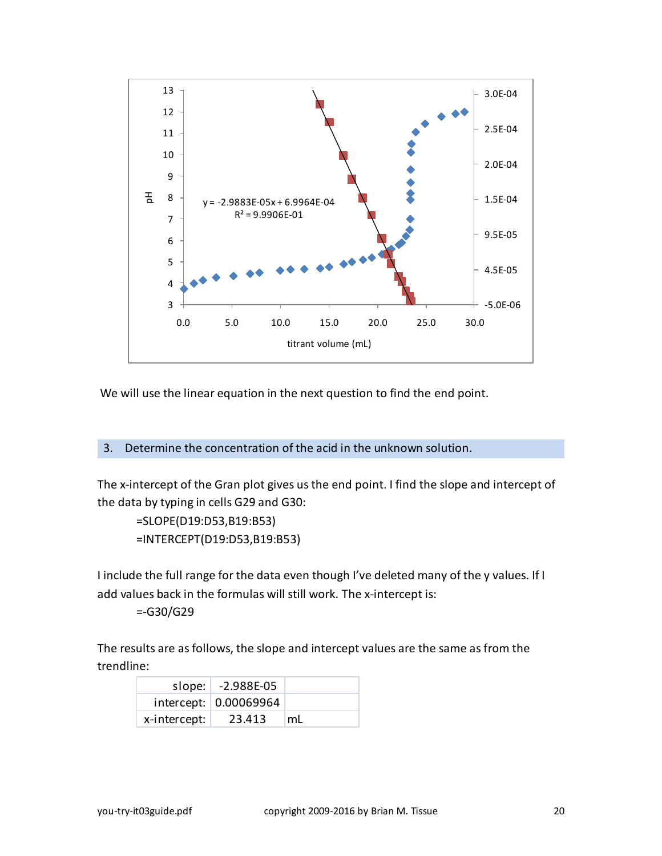

We will use the linear equation in the next question to find the end point.

## 3. Determine the concentration of the acid in the unknown solution.

The x-intercept of the Gran plot gives us the end point. I find the slope and intercept of the data by typing in cells G29 and G30:

```
=SLOPE(D19:D53,B19:B53)
=INTERCEPT(D19:D53,B19:B53)
```
I include the full range for the data even though I've deleted many of the y values. If I add values back in the formulas will still work. The x-intercept is:

=-G30/G29

The results are as follows, the slope and intercept values are the same as from the trendline:

|              | slope: $\vert$ -2.988E-05 |    |
|--------------|---------------------------|----|
|              | intercept: 0.00069964     |    |
| x-intercept: | 23.413                    | mL |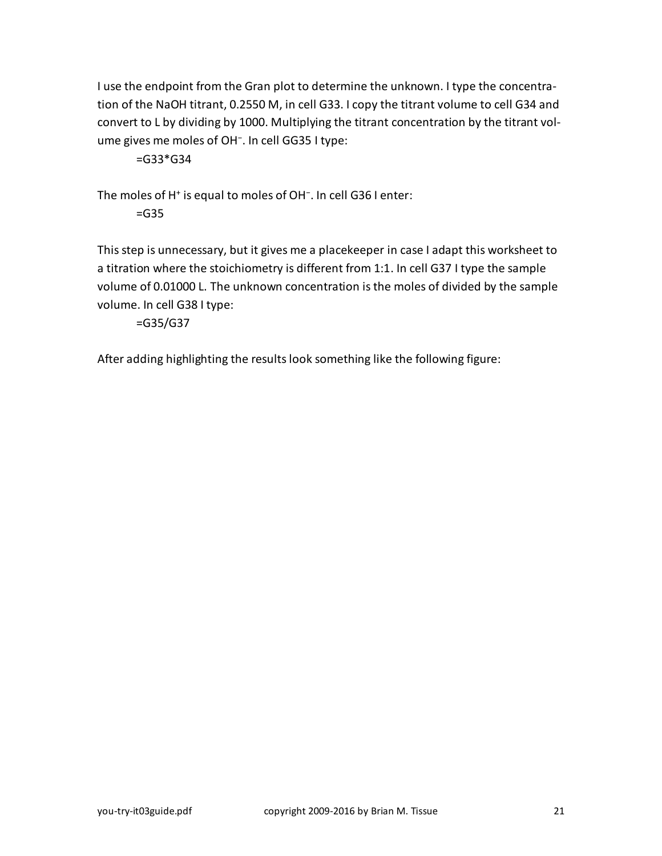I use the endpoint from the Gran plot to determine the unknown. I type the concentration of the NaOH titrant, 0.2550 M, in cell G33. I copy the titrant volume to cell G34 and convert to L by dividing by 1000. Multiplying the titrant concentration by the titrant volume gives me moles of OH<sup>−</sup> . In cell GG35 I type:

 $=$ G33 $*$ G34

The moles of H<sup>+</sup> is equal to moles of OH<sup>-</sup>. In cell G36 I enter:

=G35

This step is unnecessary, but it gives me a placekeeper in case I adapt this worksheet to a titration where the stoichiometry is different from 1:1. In cell G37 I type the sample volume of 0.01000 L. The unknown concentration is the moles of divided by the sample volume. In cell G38 I type:

=G35/G37

After adding highlighting the results look something like the following figure: